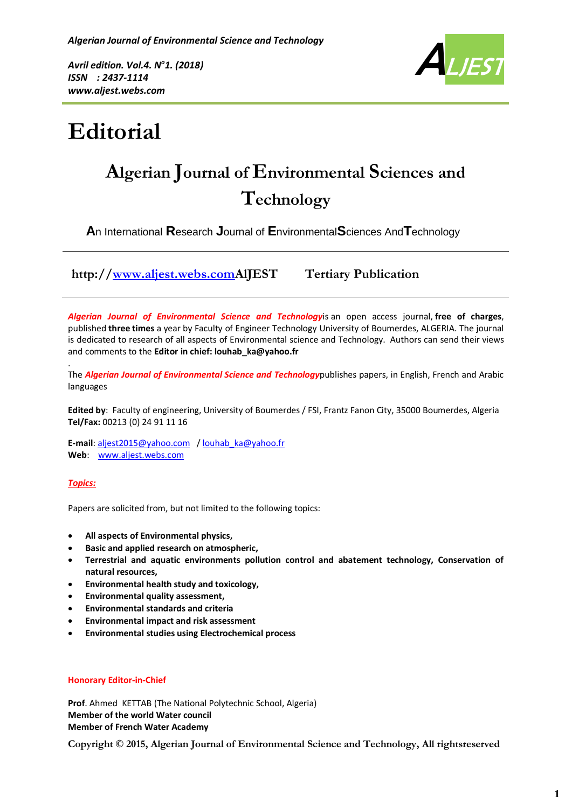*Avril edition. Vol.4. N<sup>o</sup>1. (2018) ISSN : 2437-1114 www.aljest.webs.com*



# **Editorial**

## **Algerian Journal of Environmental Sciences and Technology**

**A**n International **R**esearch **J**ournal of **E**nvironmental**S**ciences And**T**echnology

**http:/[/www.aljest.webs.comA](http://www.aljest.webs.com/)lJEST Tertiary Publication** 

*Algerian Journal of Environmental Science and Technology*is an open access journal, **free of charges**, published **three times** a year by Faculty of Engineer Technology University of Boumerdes, ALGERIA. The journal is dedicated to research of all aspects of Environmental science and Technology. Authors can send their views and comments to the **Editor in chief: louhab\_ka@yahoo.fr**

. The *Algerian Journal of Environmental Science and Technology*publishes papers, in English, French and Arabic languages

**Edited by**: Faculty of engineering, University of Boumerdes / FSI, Frantz Fanon City, 35000 Boumerdes, Algeria **Tel/Fax:** 00213 (0) 24 91 11 16

**E-mail**[: aljest2015@yahoo.com](mailto:aljest2015@yahoo.com) [/ louhab\\_ka@yahoo.fr](mailto:louhab_ka@yahoo.fr) **Web**: [www.aljest.webs.com](http://www.aljest.webs.com/)

#### *Topics:*

Papers are solicited from, but not limited to the following topics:

- **All aspects of Environmental physics,**
- **Basic and applied research on atmospheric,**
- **Terrestrial and aquatic environments pollution control and abatement technology, Conservation of natural resources,**
- **Environmental health study and toxicology,**
- **Environmental quality assessment,**
- **Environmental standards and criteria**
- **Environmental impact and risk assessment**
- **Environmental studies using Electrochemical process**

#### **Honorary Editor-in-Chief**

**Prof**. Ahmed KETTAB (The National Polytechnic School, Algeria) **Member of the world Water council Member of French Water Academy**

**Copyright © 2015, Algerian Journal of Environmental Science and Technology, All rightsreserved**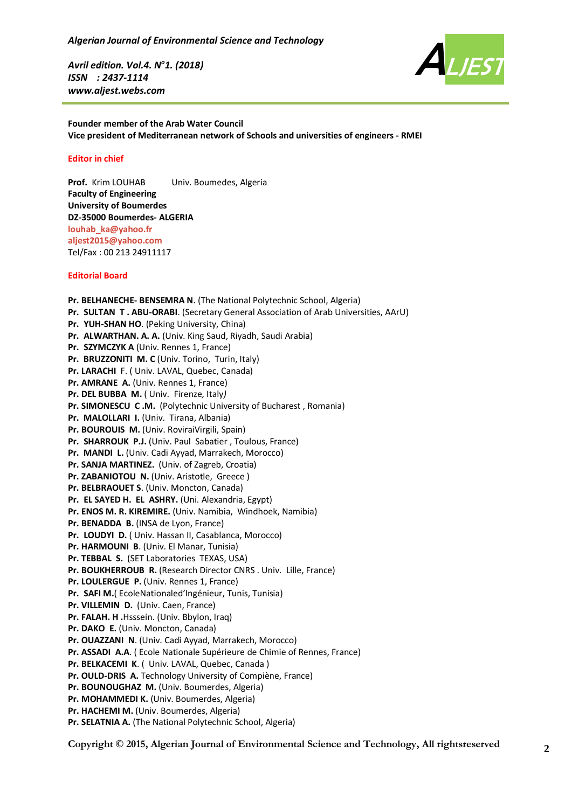*Avril edition. Vol.4. N<sup>o</sup>1. (2018) ISSN : 2437-1114 www.aljest.webs.com*



**Founder member of the Arab Water Council Vice president of Mediterranean network of Schools and universities of engineers - RMEI**

#### **Editor in chief**

**Prof.** Krim LOUHAB Univ. Boumedes, Algeria **Faculty of Engineering University of Boumerdes DZ-35000 Boumerdes- ALGERIA [louhab\\_ka@yahoo.fr](mailto:Louhab_ka@yahoo.fr) [aljest2015@yahoo.com](mailto:aljest2015@yahoo.com)** Tel/Fax : 00 213 24911117

#### **Editorial Board**

**Pr. BELHANECHE- BENSEMRA N**. (The National Polytechnic School, Algeria) **Pr. SULTAN T . ABU-ORABI**. (Secretary General Association of Arab Universities, AArU) **Pr. YUH-SHAN HO**. (Peking University, China) **Pr. ALWARTHAN. A. A.** (Univ. King Saud, Riyadh, Saudi Arabia) **Pr. SZYMCZYK A** (Univ. Rennes 1, France) **Pr. BRUZZONITI M. C** (Univ. Torino, Turin, Italy) **Pr. LARACHI** F. ( Univ. LAVAL, Quebec, Canada) **Pr. AMRANE A.** (Univ. Rennes 1, France) **Pr. DEL BUBBA M.** ( Univ. Firenze*,* Italy*)* **Pr. SIMONESCU C .M.** (Polytechnic University of Bucharest , Romania) **Pr. MALOLLARI I.** (Univ. Tirana, Albania) **Pr. BOUROUIS M.** (Univ. RoviraiVirgili, Spain) **Pr. SHARROUK P.J.** (Univ. Paul Sabatier , Toulous, France) **Pr. MANDI L.** (Univ. Cadi Ayyad, Marrakech, Morocco) **Pr. SANJA MARTINEZ.** (Univ. of Zagreb, Croatia) **Pr. ZABANIOTOU N.** (Univ. Aristotle, Greece ) **Pr. BELBRAOUET S**. (Univ. Moncton, Canada) **Pr. EL SAYED H. EL ASHRY.** (Uni. Alexandria, Egypt) **Pr. ENOS M. R. KIREMIRE.** (Univ. Namibia, Windhoek, Namibia) **Pr. BENADDA B.** (INSA de Lyon, France) **Pr. LOUDYI D.** ( Univ. Hassan II, Casablanca, Morocco) **Pr. HARMOUNI B**. (Univ. El Manar, Tunisia) **Pr. TEBBAL S.** (SET Laboratories TEXAS, USA) **Pr. BOUKHERROUB R.** (Research Director CNRS . Univ. Lille, France) **Pr. LOULERGUE P.** (Univ. Rennes 1, France) **Pr. SAFI M.**( EcoleNationaled'Ingénieur, Tunis, Tunisia) **Pr. VILLEMIN D.** (Univ. Caen, France) **Pr. FALAH. H .**Hsssein. (Univ. Bbylon, Iraq) **Pr. DAKO E.** (Univ. Moncton, Canada) **Pr. OUAZZANI N**. (Univ. Cadi Ayyad, Marrakech, Morocco) **Pr. ASSADI A.A**. ( Ecole Nationale Supérieure de Chimie of Rennes, France) **Pr. BELKACEMI K**. ( Univ. LAVAL, Quebec, Canada ) **Pr. OULD-DRIS A.** Technology University of Compiène, France) **Pr. BOUNOUGHAZ M.** (Univ. Boumerdes, Algeria) **Pr. MOHAMMEDI K.** (Univ. Boumerdes, Algeria) **Pr. HACHEMI M.** (Univ. Boumerdes, Algeria) **Pr. SELATNIA A.** (The National Polytechnic School, Algeria)

**Copyright © 2015, Algerian Journal of Environmental Science and Technology, All rightsreserved**